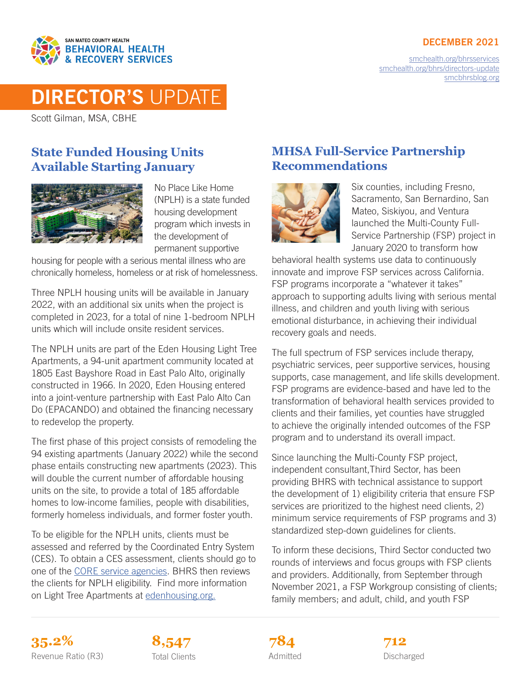#### DECEMBER 2021



[smchealth.org/bhrsservices](https://www.smchealth.org/bhrsservices) [smchealth.org/bhrs/directors-update](https://www.smchealth.org/bhrs/directors-update) [smcbhrsblog.org](http://www.smcbhrsblog.org)

# DIRECTOR'S UPDATE

Scott Gilman, MSA, CBHE

### **State Funded Housing Units Available Starting January**



No Place Like Home (NPLH) is a state funded housing development program which invests in the development of permanent supportive

housing for people with a serious mental illness who are chronically homeless, homeless or at risk of homelessness.

Three NPLH housing units will be available in January 2022, with an additional six units when the project is completed in 2023, for a total of nine 1-bedroom NPLH units which will include onsite resident services.

The NPLH units are part of the Eden Housing Light Tree Apartments, a 94-unit apartment community located at 1805 East Bayshore Road in East Palo Alto, originally constructed in 1966. In 2020, Eden Housing entered into a joint-venture partnership with East Palo Alto Can Do (EPACANDO) and obtained the financing necessary to redevelop the property.

The first phase of this project consists of remodeling the 94 existing apartments (January 2022) while the second phase entails constructing new apartments (2023). This will double the current number of affordable housing units on the site, to provide a total of 185 affordable homes to low-income families, people with disabilities, formerly homeless individuals, and former foster youth.

To be eligible for the NPLH units, clients must be assessed and referred by the Coordinated Entry System (CES). To obtain a CES assessment, clients should go to one of the [CORE service agencies.](https://www.smchealth.org/sites/main/files/core_service_agencies.pdf) BHRS then reviews the clients for NPLH eligibility. Find more information on Light Tree Apartments at [edenhousing.org.](https://edenhousing.org/properties/light-tree/)

# **MHSA Full-Service Partnership Recommendations**



Six counties, including Fresno, Sacramento, San Bernardino, San Mateo, Siskiyou, and Ventura launched the Multi-County Full-Service Partnership (FSP) project in January 2020 to transform how

behavioral health systems use data to continuously innovate and improve FSP services across California. FSP programs incorporate a "whatever it takes" approach to supporting adults living with serious mental illness, and children and youth living with serious emotional disturbance, in achieving their individual recovery goals and needs.

The full spectrum of FSP services include therapy, psychiatric services, peer supportive services, housing supports, case management, and life skills development. FSP programs are evidence-based and have led to the transformation of behavioral health services provided to clients and their families, yet counties have struggled to achieve the originally intended outcomes of the FSP program and to understand its overall impact.

Since launching the Multi-County FSP project, independent consultant,Third Sector, has been providing BHRS with technical assistance to support the development of 1) eligibility criteria that ensure FSP services are prioritized to the highest need clients, 2) minimum service requirements of FSP programs and 3) standardized step-down guidelines for clients.

To inform these decisions, Third Sector conducted two rounds of interviews and focus groups with FSP clients and providers. Additionally, from September through November 2021, a FSP Workgroup consisting of clients; family members; and adult, child, and youth FSP

**35.2% 8,547 712** Revenue Ratio (R3) Total Clients **Constructs** Admitted **Discharged** Discharged



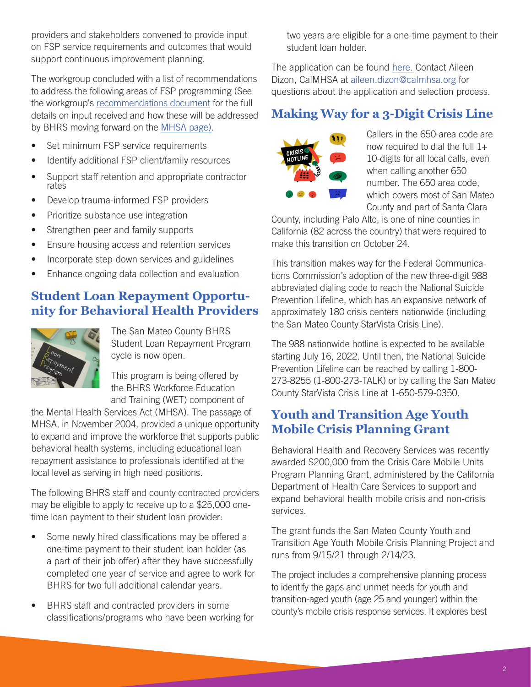providers and stakeholders convened to provide input on FSP service requirements and outcomes that would support continuous improvement planning.

The workgroup concluded with a list of recommendations to address the following areas of FSP programming (See the workgroup's [recommendations document](https://www.smchealth.org/sites/main/files/fsp_workgroup_feedback_addressed_drafttoreview_final.pdf) for the full details on input received and how these will be addressed by BHRS moving forward on the [MHSA page](https://www.smchealth.org/bhrs/mhsa)).

- Set minimum FSP service requirements
- Identify additional FSP client/family resources
- Support staff retention and appropriate contractor rates
- Develop trauma-informed FSP providers
- Prioritize substance use integration
- Strengthen peer and family supports
- Ensure housing access and retention services
- Incorporate step-down services and guidelines
- Enhance ongoing data collection and evaluation

# **Student Loan Repayment Opportunity for Behavioral Health Providers**



The San Mateo County BHRS Student Loan Repayment Program cycle is now open.

This program is being offered by the BHRS Workforce Education and Training (WET) component of

the Mental Health Services Act (MHSA). The passage of MHSA, in November 2004, provided a unique opportunity to expand and improve the workforce that supports public behavioral health systems, including educational loan repayment assistance to professionals identified at the local level as serving in high need positions.

The following BHRS staff and county contracted providers may be eligible to apply to receive up to a \$25,000 onetime loan payment to their student loan provider:

- Some newly hired classifications may be offered a one-time payment to their student loan holder (as a part of their job offer) after they have successfully completed one year of service and agree to work for BHRS for two full additional calendar years.
- BHRS staff and contracted providers in some classifications/programs who have been working for

two years are eligible for a one-time payment to their student loan holder.

The application can be found [here](https://oshpd.sjc1.qualtrics.com/jfe/form/SV_8Jt1BS52a39kCdn). Contact Aileen Dizon, CalMHSA at [aileen.dizon@calmhsa.org](mailto:aileen.dizon%40calmhsa.org?subject=) for questions about the application and selection process.

# **Making Way for a 3-Digit Crisis Line**



Callers in the 650-area code are now required to dial the full  $1+$ 10-digits for all local calls, even when calling another 650 number. The 650 area code, which covers most of San Mateo County and part of Santa Clara

County, including Palo Alto, is one of nine counties in California (82 across the country) that were required to make this transition on October 24.

This transition makes way for the Federal Communications Commission's adoption of the new three-digit 988 abbreviated dialing code to reach the National Suicide Prevention Lifeline, which has an expansive network of approximately 180 crisis centers nationwide (including the San Mateo County StarVista Crisis Line).

The 988 nationwide hotline is expected to be available starting July 16, 2022. Until then, the National Suicide Prevention Lifeline can be reached by calling 1-800- 273-8255 (1-800-273-TALK) or by calling the San Mateo County StarVista Crisis Line at 1-650-579-0350.

# **Youth and Transition Age Youth Mobile Crisis Planning Grant**

Behavioral Health and Recovery Services was recently awarded \$200,000 from the Crisis Care Mobile Units Program Planning Grant, administered by the California Department of Health Care Services to support and expand behavioral health mobile crisis and non-crisis services.

The grant funds the San Mateo County Youth and Transition Age Youth Mobile Crisis Planning Project and runs from 9/15/21 through 2/14/23.

The project includes a comprehensive planning process to identify the gaps and unmet needs for youth and transition-aged youth (age 25 and younger) within the county's mobile crisis response services. It explores best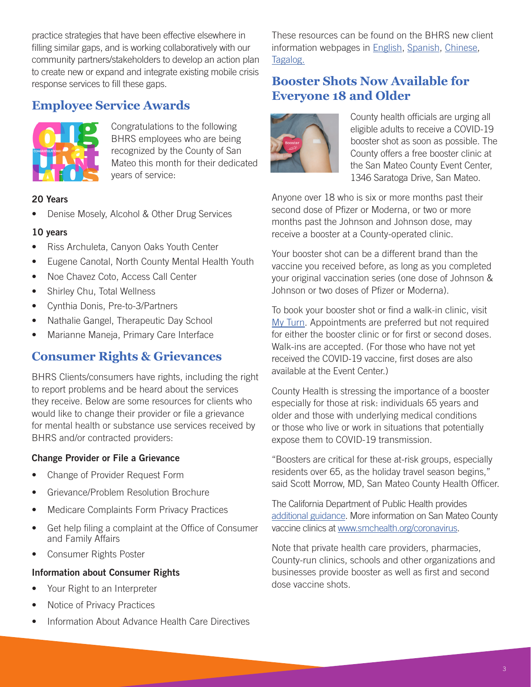practice strategies that have been effective elsewhere in filling similar gaps, and is working collaboratively with our community partners/stakeholders to develop an action plan to create new or expand and integrate existing mobile crisis response services to fill these gaps.

### **Employee Service Awards**



Congratulations to the following BHRS employees who are being recognized by the County of San Mateo this month for their dedicated years of service:

#### 20 Years

• Denise Mosely, Alcohol & Other Drug Services

#### 10 years

- Riss Archuleta, Canyon Oaks Youth Center
- Eugene Canotal, North County Mental Health Youth
- Noe Chavez Coto, Access Call Center
- Shirley Chu, Total Wellness
- Cynthia Donis, Pre-to-3/Partners
- Nathalie Gangel, Therapeutic Day School
- Marianne Maneja, Primary Care Interface

### **Consumer Rights & Grievances**

BHRS Clients/consumers have rights, including the right to report problems and be heard about the services they receive. Below are some resources for clients who would like to change their provider or file a grievance for mental health or substance use services received by BHRS and/or contracted providers:

#### Change Provider or File a Grievance

- Change of Provider Request Form
- Grievance/Problem Resolution Brochure
- Medicare Complaints Form Privacy Practices
- Get help filing a complaint at the Office of Consumer and Family Affairs
- Consumer Rights Poster

#### Information about Consumer Rights

- Your Right to an Interpreter
- Notice of Privacy Practices
- Information About Advance Health Care Directives

These resources can be found on the BHRS new client information webpages in [English,](https://www.smchealth.org/new-client-information-english) S[panish](https://www.smchealth.org/new-client-information-spanish), [Chinese,](https://www.smchealth.org/new-client-information-chinese) [Tagalog](https://www.smchealth.org/new-client-information-filipino).

### **Booster Shots Now Available for Everyone 18 and Older**



County health officials are urging all eligible adults to receive a COVID-19 booster shot as soon as possible. The County offers a free booster clinic at the San Mateo County Event Center, 1346 Saratoga Drive, San Mateo.

Anyone over 18 who is six or more months past their second dose of Pfizer or Moderna, or two or more months past the Johnson and Johnson dose, may receive a booster at a County-operated clinic.

Your booster shot can be a different brand than the vaccine you received before, as long as you completed your original vaccination series (one dose of Johnson & Johnson or two doses of Pfizer or Moderna).

To book your booster shot or find a walk-in clinic, visit [My Turn](https://myturn.ca.gov/). Appointments are preferred but not required for either the booster clinic or for first or second doses. Walk-ins are accepted. (For those who have not yet received the COVID-19 vaccine, first doses are also available at the Event Center.)

County Health is stressing the importance of a booster especially for those at risk: individuals 65 years and older and those with underlying medical conditions or those who live or work in situations that potentially expose them to COVID-19 transmission.

"Boosters are critical for these at-risk groups, especially residents over 65, as the holiday travel season begins," said Scott Morrow, MD, San Mateo County Health Officer.

The California Department of Public Health provides [additional guidance](https://www.cdph.ca.gov/Programs/CID/DCDC/Pages/COVID-19/COVID-19-Vaccine-Boosters.aspx). More information on San Mateo County vaccine clinics at [www.smchealth.org/coronavirus](http://www.smchealth.org/coronavirus).

Note that private health care providers, pharmacies, County-run clinics, schools and other organizations and businesses provide booster as well as first and second dose vaccine shots.